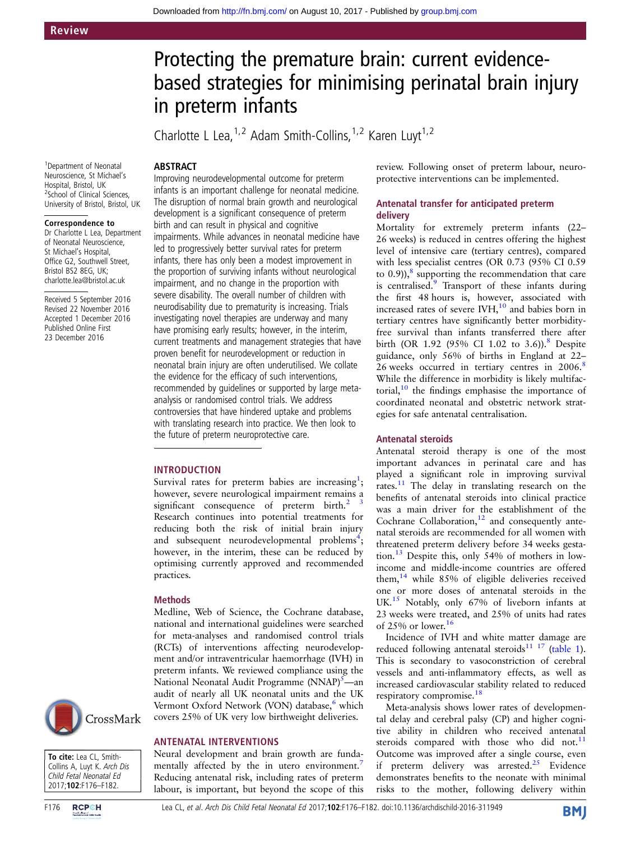# Protecting the premature brain: current evidencebased strategies for minimising perinatal brain injury in preterm infants

Charlotte L Lea,  $1,2$  Adam Smith-Collins,  $1,2$  Karen Luyt  $1,2$ 

# **ABSTRACT**

1 Department of Neonatal Neuroscience, St Michael's Hospital, Bristol, UK 2 School of Clinical Sciences, University of Bristol, Bristol, UK

#### Correspondence to

Dr Charlotte L Lea, Department of Neonatal Neuroscience, St Michael's Hospital, Office G2, Southwell Street, Bristol BS2 8EG, UK; charlotte.lea@bristol.ac.uk

Received 5 September 2016 Revised 22 November 2016 Accepted 1 December 2016 Published Online First 23 December 2016

CrossMark

To cite: Lea CL, Smith-Collins A, Luyt K. Arch Dis Child Fetal Neonatal Ed 2017;102:F176–F182.

Improving neurodevelopmental outcome for preterm infants is an important challenge for neonatal medicine. The disruption of normal brain growth and neurological development is a significant consequence of preterm birth and can result in physical and cognitive impairments. While advances in neonatal medicine have led to progressively better survival rates for preterm infants, there has only been a modest improvement in the proportion of surviving infants without neurological impairment, and no change in the proportion with severe disability. The overall number of children with neurodisability due to prematurity is increasing. Trials investigating novel therapies are underway and many have promising early results; however, in the interim, current treatments and management strategies that have proven benefit for neurodevelopment or reduction in neonatal brain injury are often underutilised. We collate the evidence for the efficacy of such interventions, recommended by guidelines or supported by large metaanalysis or randomised control trials. We address controversies that have hindered uptake and problems with translating research into practice. We then look to the future of preterm neuroprotective care.

#### INTRODUCTION

Survival rates for preterm babies are increasing<sup>[1](#page-4-0)</sup>; however, severe neurological impairment remains a significant consequence of preterm birth.<sup>2</sup> Research continues into potential treatments for reducing both the risk of initial brain injury and subsequent neurodevelopmental problems<sup>[4](#page-4-0)</sup>; however, in the interim, these can be reduced by optimising currently approved and recommended practices.

#### Methods

Medline, Web of Science, the Cochrane database, national and international guidelines were searched for meta-analyses and randomised control trials (RCTs) of interventions affecting neurodevelopment and/or intraventricular haemorrhage (IVH) in preterm infants. We reviewed compliance using the National Neonatal Audit Programme (NNAP)<sup>5</sup>—an audit of nearly all UK neonatal units and the UK Vermont Oxford Network (VON) database,<sup>[6](#page-4-0)</sup> which covers 25% of UK very low birthweight deliveries.

#### ANTENATAL INTERVENTIONS

Neural development and brain growth are funda-mentally affected by the in utero environment.<sup>[7](#page-4-0)</sup> Reducing antenatal risk, including rates of preterm labour, is important, but beyond the scope of this review. Following onset of preterm labour, neuroprotective interventions can be implemented.

# Antenatal transfer for anticipated preterm delivery

Mortality for extremely preterm infants (22– 26 weeks) is reduced in centres offering the highest level of intensive care (tertiary centres), compared with less specialist centres (OR 0.73 (95% CI 0.59 to  $(0.9)$ ),  $\frac{8}{3}$  $\frac{8}{3}$  $\frac{8}{3}$  supporting the recommendation that care is centralised.<sup>9</sup> Transport of these infants during the first 48 hours is, however, associated with increased rates of severe  $IWH$ ,<sup>[10](#page-4-0)</sup> and babies born in tertiary centres have significantly better morbidityfree survival than infants transferred there after birth (OR 1.92 (95% CI 1.02 to 3.6)).<sup>[8](#page-4-0)</sup> Despite guidance, only 56% of births in England at 22– 26 weeks occurred in tertiary centres in 2006.<sup>[8](#page-4-0)</sup> While the difference in morbidity is likely multifactorial, $10$  the findings emphasise the importance of coordinated neonatal and obstetric network strategies for safe antenatal centralisation.

#### Antenatal steroids

Antenatal steroid therapy is one of the most important advances in perinatal care and has played a significant role in improving survival rates.<sup>[11](#page-4-0)</sup> The delay in translating research on the benefits of antenatal steroids into clinical practice was a main driver for the establishment of the Cochrane Collaboration, $12$  and consequently antenatal steroids are recommended for all women with threatened preterm delivery before 34 weeks gestation.[13](#page-4-0) Despite this, only 54% of mothers in lowincome and middle-income countries are offered them,<sup>[14](#page-4-0)</sup> while 85% of eligible deliveries received one or more doses of antenatal steroids in the UK.<sup>15</sup> Notably, only 67% of liveborn infants at 23 weeks were treated, and 25% of units had rates of 25% or lower.<sup>[16](#page-4-0)</sup>

Incidence of IVH and white matter damage are reduced following antenatal steroids<sup>[11 17](#page-4-0)</sup> [\(table 1\)](#page-1-0). This is secondary to vasoconstriction of cerebral vessels and anti-inflammatory effects, as well as increased cardiovascular stability related to reduced respiratory compromise.<sup>18</sup>

Meta-analysis shows lower rates of developmental delay and cerebral palsy (CP) and higher cognitive ability in children who received antenatal steroids compared with those who did not. $11$ Outcome was improved after a single course, even if preterm delivery was arrested.<sup>[25](#page-4-0)</sup> Evidence demonstrates benefits to the neonate with minimal risks to the mother, following delivery within

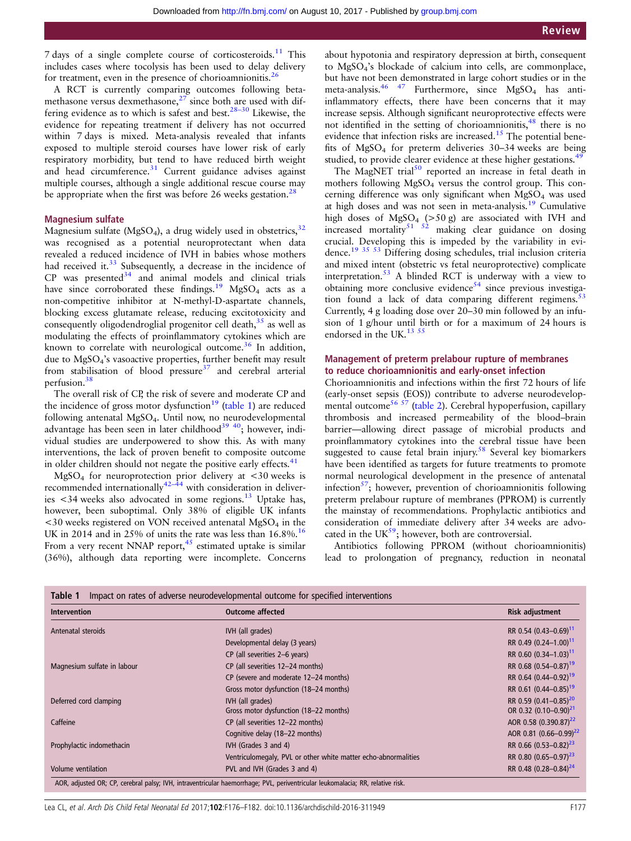<span id="page-1-0"></span>7 days of a single complete course of corticosteroids.[11](#page-4-0) This includes cases where tocolysis has been used to delay delivery for treatment, even in the presence of chorioamnionitis.<sup>[26](#page-4-0)</sup>

A RCT is currently comparing outcomes following betamethasone versus dexmethasone, $27$  since both are used with differing evidence as to which is safest and best.<sup>28–30</sup> Likewise, the evidence for repeating treatment if delivery has not occurred within 7 days is mixed. Meta-analysis revealed that infants exposed to multiple steroid courses have lower risk of early respiratory morbidity, but tend to have reduced birth weight and head circumference.<sup>[31](#page-4-0)</sup> Current guidance advises against multiple courses, although a single additional rescue course may be appropriate when the first was before 26 weeks gestation.<sup>[28](#page-4-0)</sup>

#### Magnesium sulfate

Magnesium sulfate (MgSO<sub>4</sub>), a drug widely used in obstetrics,  $32$ was recognised as a potential neuroprotectant when data revealed a reduced incidence of IVH in babies whose mothers had received it. $33$  Subsequently, a decrease in the incidence of  $CP$  was presented $34$  and animal models and clinical trials have since corroborated these findings.<sup>19</sup> MgSO<sub>4</sub> acts as a non-competitive inhibitor at N-methyl-D-aspartate channels, blocking excess glutamate release, reducing excitotoxicity and consequently oligodendroglial progenitor cell death,<sup>[35](#page-4-0)</sup> as well as modulating the effects of proinflammatory cytokines which are known to correlate with neurological outcome.<sup>36</sup> In addition, due to MgSO4's vasoactive properties, further benefit may result from stabilisation of blood pressure<sup>37</sup> and cerebral arterial perfusion.[38](#page-4-0)

The overall risk of CP, the risk of severe and moderate CP and the incidence of gross motor dysfunction<sup>[19](#page-4-0)</sup> (table 1) are reduced following antenatal MgSO4. Until now, no neurodevelopmental advantage has been seen in later childhood $3940$ ; however, individual studies are underpowered to show this. As with many interventions, the lack of proven benefit to composite outcome in older children should not negate the positive early effects.<sup>[41](#page-4-0)</sup>

 $MgSO<sub>4</sub>$  for neuroprotection prior delivery at <30 weeks is recommended internationally<sup>[42](#page-4-0)–44</sup> with consideration in deliver-ies <34 weeks also advocated in some regions.<sup>[13](#page-4-0)</sup> Uptake has, however, been suboptimal. Only 38% of eligible UK infants  $<$ 30 weeks registered on VON received antenatal MgSO<sub>4</sub> in the UK in 2014 and in 25% of units the rate was less than  $16.8\%$ .<sup>16</sup> From a very recent NNAP report, $45$  estimated uptake is similar (36%), although data reporting were incomplete. Concerns

about hypotonia and respiratory depression at birth, consequent to MgSO4's blockade of calcium into cells, are commonplace, but have not been demonstrated in large cohort studies or in the meta-analysis.<sup>46</sup> <sup>47</sup> Furthermore, since  $MgSO<sub>4</sub>$  has antiinflammatory effects, there have been concerns that it may increase sepsis. Although significant neuroprotective effects were not identified in the setting of chorioamnionitis,<sup>[48](#page-4-0)</sup> there is no evidence that infection risks are increased.<sup>[15](#page-4-0)</sup> The potential benefits of MgSO4 for preterm deliveries 30–34 weeks are being studied, to provide clearer evidence at these higher gestations.<sup>[49](#page-4-0)</sup>

The MagNET trial<sup>[50](#page-4-0)</sup> reported an increase in fetal death in mothers following MgSO4 versus the control group. This concerning difference was only significant when  $MgSO<sub>4</sub>$  was used at high doses and was not seen in meta-analysis.[19](#page-4-0) Cumulative high doses of MgSO<sub>4</sub> ( $>50$  g) are associated with IVH and increased mortality<sup>[51 52](#page-4-0)</sup> making clear guidance on dosing crucial. Developing this is impeded by the variability in evidence.[19 35 53](#page-4-0) Differing dosing schedules, trial inclusion criteria and mixed intent (obstetric vs fetal neuroprotective) complicate interpretation[.53](#page-4-0) A blinded RCT is underway with a view to obtaining more conclusive evidence<sup>[54](#page-4-0)</sup> since previous investigation found a lack of data comparing different regimens. $53$ Currently, 4 g loading dose over 20–30 min followed by an infusion of 1 g/hour until birth or for a maximum of 24 hours is endorsed in the UK.<sup>[13 55](#page-4-0)</sup>

#### Management of preterm prelabour rupture of membranes to reduce chorioamnionitis and early-onset infection

Chorioamnionitis and infections within the first 72 hours of life (early-onset sepsis (EOS)) contribute to adverse neurodevelopmental outcome<sup>56 57</sup> ([table 2](#page-2-0)). Cerebral hypoperfusion, capillary thrombosis and increased permeability of the blood–brain barrier—allowing direct passage of microbial products and proinflammatory cytokines into the cerebral tissue have been suggested to cause fetal brain injury.<sup>[58](#page-5-0)</sup> Several key biomarkers have been identified as targets for future treatments to promote normal neurological development in the presence of antenatal infection $^{57}$ ; however, prevention of chorioamnionitis following preterm prelabour rupture of membranes (PPROM) is currently the mainstay of recommendations. Prophylactic antibiotics and consideration of immediate delivery after 34 weeks are advocated in the  $UK^{59}$  $UK^{59}$  $UK^{59}$ ; however, both are controversial.

Antibiotics following PPROM (without chorioamnionitis) lead to prolongation of pregnancy, reduction in neonatal

| <b>Intervention</b>         | <b>Outcome affected</b>                                        | <b>Risk adjustment</b>                                                 |
|-----------------------------|----------------------------------------------------------------|------------------------------------------------------------------------|
| Antenatal steroids          | IVH (all grades)                                               | RR 0.54 (0.43-0.69) <sup>11</sup>                                      |
|                             | Developmental delay (3 years)                                  | RR 0.49 (0.24-1.00) <sup>11</sup>                                      |
|                             | CP (all severities 2-6 years)                                  | RR 0.60 (0.34-1.03) <sup>11</sup>                                      |
| Magnesium sulfate in labour | CP (all severities 12-24 months)                               | RR 0.68 (0.54-0.87) <sup>19</sup>                                      |
|                             | CP (severe and moderate 12-24 months)                          | RR 0.64 (0.44-0.92) <sup>19</sup>                                      |
|                             | Gross motor dysfunction (18-24 months)                         | RR 0.61 (0.44-0.85) <sup>19</sup>                                      |
| Deferred cord clamping      | IVH (all grades)<br>Gross motor dysfunction (18-22 months)     | RR 0.59 (0.41-0.85) <sup>20</sup><br>OR 0.32 (0.10-0.90) <sup>21</sup> |
| Caffeine                    | CP (all severities 12-22 months)                               | AOR 0.58 (0.390.87) <sup>22</sup>                                      |
|                             | Cognitive delay (18-22 months)                                 | AOR 0.81 (0.66-0.99) <sup>22</sup>                                     |
| Prophylactic indomethacin   | IVH (Grades 3 and 4)                                           | RR 0.66 (0.53-0.82) <sup>23</sup>                                      |
|                             | Ventriculomegaly, PVL or other white matter echo-abnormalities | RR 0.80 (0.65-0.97) <sup>23</sup>                                      |
| Volume ventilation          | PVL and IVH (Grades 3 and 4)                                   | RR 0.48 (0.28-0.84) <sup>24</sup>                                      |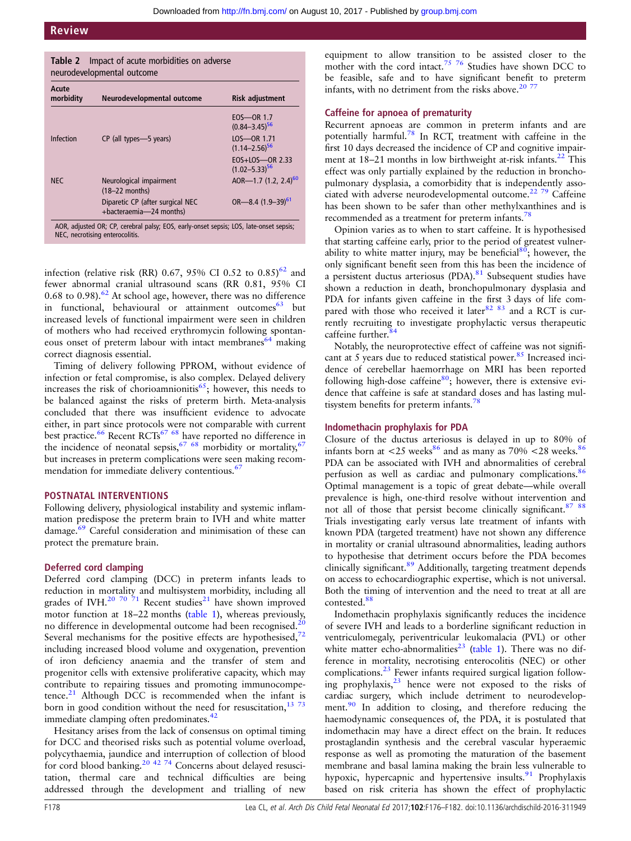<span id="page-2-0"></span>

| Impact of acute morbidities on adverse<br>Table 2<br>neurodevelopmental outcome                                           |                                                             |                                           |
|---------------------------------------------------------------------------------------------------------------------------|-------------------------------------------------------------|-------------------------------------------|
| Acute<br>morbidity                                                                                                        | Neurodevelopmental outcome                                  | Risk adjustment                           |
|                                                                                                                           |                                                             | $EOS$ - OR 1.7<br>$(0.84 - 3.45)^{56}$    |
| Infection                                                                                                                 | CP (all types-5 years)                                      | LOS-OR 1.71<br>$(1.14 - 2.56)^{56}$       |
|                                                                                                                           |                                                             | $EOS+LOS$ OR 2.33<br>$(1.02 - 5.33)^{56}$ |
| <b>NEC</b>                                                                                                                | Neurological impairment<br>$(18-22$ months)                 | AOR-1.7 $(1.2, 2.4)^{60}$                 |
|                                                                                                                           | Diparetic CP (after surgical NEC<br>+bacteraemia-24 months) | OR-8.4 $(1.9-39)^{61}$                    |
| AOR, adjusted OR; CP, cerebral palsy; EOS, early-onset sepsis; LOS, late-onset sepsis;<br>NEC, necrotising enterocolitis. |                                                             |                                           |

infection (relative risk (RR) 0.67, 95% CI 0.52 to  $0.85$ )<sup>[62](#page-5-0)</sup> and fewer abnormal cranial ultrasound scans (RR 0.81, 95% CI 0.68 to 0.98). $62$  At school age, however, there was no difference in functional, behavioural or attainment outcomes<sup>[63](#page-5-0)</sup> but increased levels of functional impairment were seen in children of mothers who had received erythromycin following spontaneous onset of preterm labour with intact membranes<sup>64</sup> making correct diagnosis essential.

Timing of delivery following PPROM, without evidence of infection or fetal compromise, is also complex. Delayed delivery increases the risk of chorioamnionitis<sup>65</sup>; however, this needs to be balanced against the risks of preterm birth. Meta-analysis concluded that there was insufficient evidence to advocate either, in part since protocols were not comparable with current best practice.<sup>[66](#page-5-0)</sup> Recent RCTs<sup>[67 68](#page-5-0)</sup> have reported no difference in the incidence of neonatal sepsis,  $67/68$  $67/68$  morbidity or mortality,  $67$ but increases in preterm complications were seen making recom-mendation for immediate delivery contentious.<sup>[67](#page-5-0)</sup>

#### POSTNATAL INTERVENTIONS

Following delivery, physiological instability and systemic inflammation predispose the preterm brain to IVH and white matter damage.<sup>[69](#page-5-0)</sup> Careful consideration and minimisation of these can protect the premature brain.

#### Deferred cord clamping

Deferred cord clamping (DCC) in preterm infants leads to reduction in mortality and multisystem morbidity, including all grades of IVH.<sup>[20](#page-4-0) [70 71](#page-5-0)</sup> Recent studies<sup>[21](#page-4-0)</sup> have shown improved motor function at 18–22 months ([table 1\)](#page-1-0), whereas previously, no difference in developmental outcome had been recognised.<sup>20</sup> Several mechanisms for the positive effects are hypothesised,<sup>72</sup> including increased blood volume and oxygenation, prevention of iron deficiency anaemia and the transfer of stem and progenitor cells with extensive proliferative capacity, which may contribute to repairing tissues and promoting immunocompetence. $21$  Although DCC is recommended when the infant is born in good condition without the need for resuscitation,  $1373$ immediate clamping often predominates.<sup>[42](#page-4-0)</sup>

Hesitancy arises from the lack of consensus on optimal timing for DCC and theorised risks such as potential volume overload, polycythaemia, jaundice and interruption of collection of blood for cord blood banking.<sup>[20 42](#page-4-0) [74](#page-5-0)</sup> Concerns about delayed resuscitation, thermal care and technical difficulties are being addressed through the development and trialling of new

equipment to allow transition to be assisted closer to the mother with the cord intact.<sup>[75 76](#page-5-0)</sup> Studies have shown DCC to be feasible, safe and to have significant benefit to preterm infants, with no detriment from the risks above.<sup>20 [77](#page-5-0)</sup>

## Caffeine for apnoea of prematurity

Recurrent apnoeas are common in preterm infants and are potentially harmful[.78](#page-5-0) In RCT, treatment with caffeine in the first 10 days decreased the incidence of CP and cognitive impairment at  $18-21$  months in low birthweight at-risk infants.<sup>22</sup> This effect was only partially explained by the reduction in bronchopulmonary dysplasia, a comorbidity that is independently asso-ciated with adverse neurodevelopmental outcome.<sup>[22](#page-4-0) [79](#page-5-0)</sup> Caffeine has been shown to be safer than other methylxanthines and is recommended as a treatment for preterm infants.<sup>7</sup>

Opinion varies as to when to start caffeine. It is hypothesised that starting caffeine early, prior to the period of greatest vulnerability to white matter injury, may be beneficial<sup>80</sup>; however, the only significant benefit seen from this has been the incidence of a persistent ductus arteriosus (PDA).[81](#page-5-0) Subsequent studies have shown a reduction in death, bronchopulmonary dysplasia and PDA for infants given caffeine in the first 3 days of life com-pared with those who received it later<sup>[82 83](#page-5-0)</sup> and a RCT is currently recruiting to investigate prophylactic versus therapeutic caffeine further.<sup>8</sup>

Notably, the neuroprotective effect of caffeine was not significant at 5 years due to reduced statistical power. $85$  Increased incidence of cerebellar haemorrhage on MRI has been reported following high-dose caffeine $80$ ; however, there is extensive evidence that caffeine is safe at standard doses and has lasting multisystem benefits for preterm infants.<sup>78</sup>

#### Indomethacin prophylaxis for PDA

Closure of the ductus arteriosus is delayed in up to 80% of infants born at  $\langle 25 \text{ weeks}^{86}$  $\langle 25 \text{ weeks}^{86}$  $\langle 25 \text{ weeks}^{86}$  and as many as  $70\% \langle 28 \text{ weeks}^{86} \rangle$ PDA can be associated with IVH and abnormalities of cerebral perfusion as well as cardiac and pulmonary complications.<sup>[86](#page-5-0)</sup> Optimal management is a topic of great debate—while overall prevalence is high, one-third resolve without intervention and not all of those that persist become clinically significant.<sup>87</sup> 88 Trials investigating early versus late treatment of infants with known PDA (targeted treatment) have not shown any difference in mortality or cranial ultrasound abnormalities, leading authors to hypothesise that detriment occurs before the PDA becomes clinically significant.<sup>[89](#page-5-0)</sup> Additionally, targeting treatment depends on access to echocardiographic expertise, which is not universal. Both the timing of intervention and the need to treat at all are contested.<sup>88</sup>

Indomethacin prophylaxis significantly reduces the incidence of severe IVH and leads to a borderline significant reduction in ventriculomegaly, periventricular leukomalacia (PVL) or other white matter echo-abnormalities<sup>[23](#page-4-0)</sup> [\(table 1](#page-1-0)). There was no difference in mortality, necrotising enterocolitis (NEC) or other complications.<sup>[23](#page-4-0)</sup> Fewer infants required surgical ligation follow-ing prophylaxis,<sup>[23](#page-4-0)</sup> hence were not exposed to the risks of cardiac surgery, which include detriment to neurodevelop-ment.<sup>[90](#page-5-0)</sup> In addition to closing, and therefore reducing the haemodynamic consequences of, the PDA, it is postulated that indomethacin may have a direct effect on the brain. It reduces prostaglandin synthesis and the cerebral vascular hyperaemic response as well as promoting the maturation of the basement membrane and basal lamina making the brain less vulnerable to hypoxic, hypercapnic and hypertensive insults.<sup>[91](#page-5-0)</sup> Prophylaxis based on risk criteria has shown the effect of prophylactic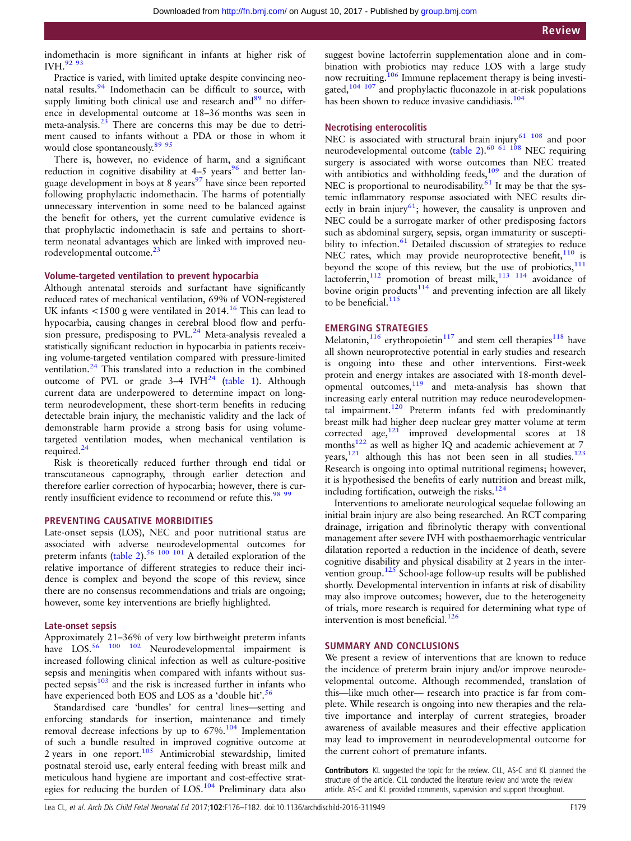indomethacin is more significant in infants at higher risk of IVH.<sup>92 93</sup>

Practice is varied, with limited uptake despite convincing neo-natal results.<sup>[94](#page-5-0)</sup> Indomethacin can be difficult to source, with supply limiting both clinical use and research and<sup>[89](#page-5-0)</sup> no difference in developmental outcome at 18–36 months was seen in meta-analysis. $23$  There are concerns this may be due to detriment caused to infants without a PDA or those in whom it would close spontaneously.<sup>89</sup><sup>95</sup>

There is, however, no evidence of harm, and a significant reduction in cognitive disability at  $4-5$  years<sup>96</sup> and better language development in boys at 8 years<sup>97</sup> have since been reported following prophylactic indomethacin. The harms of potentially unnecessary intervention in some need to be balanced against the benefit for others, yet the current cumulative evidence is that prophylactic indomethacin is safe and pertains to shortterm neonatal advantages which are linked with improved neurodevelopmental outcome.<sup>2</sup>

#### Volume-targeted ventilation to prevent hypocarbia

Although antenatal steroids and surfactant have significantly reduced rates of mechanical ventilation, 69% of VON-registered UK infants  $\leq 1500$  g were ventilated in 2014.<sup>16</sup> This can lead to hypocarbia, causing changes in cerebral blood flow and perfu-sion pressure, predisposing to PVL.<sup>[24](#page-4-0)</sup> Meta-analysis revealed a statistically significant reduction in hypocarbia in patients receiving volume-targeted ventilation compared with pressure-limited ventilation.[24](#page-4-0) This translated into a reduction in the combined outcome of PVL or grade  $3-4$  IVH<sup>[24](#page-4-0)</sup> ([table 1\)](#page-1-0). Although current data are underpowered to determine impact on longterm neurodevelopment, these short-term benefits in reducing detectable brain injury, the mechanistic validity and the lack of demonstrable harm provide a strong basis for using volumetargeted ventilation modes, when mechanical ventilation is required. $^{24}$ 

Risk is theoretically reduced further through end tidal or transcutaneous capnography, through earlier detection and therefore earlier correction of hypocarbia; however, there is cur-rently insufficient evidence to recommend or refute this.<sup>[98 99](#page-5-0)</sup>

#### PREVENTING CAUSATIVE MORBIDITIES

Late-onset sepsis (LOS), NEC and poor nutritional status are associated with adverse neurodevelopmental outcomes for preterm infants ([table 2](#page-2-0)).<sup>[56](#page-4-0) [100 101](#page-5-0)</sup> A detailed exploration of the relative importance of different strategies to reduce their incidence is complex and beyond the scope of this review, since there are no consensus recommendations and trials are ongoing; however, some key interventions are briefly highlighted.

#### Late-onset sepsis

Approximately 21–36% of very low birthweight preterm infants have LOS.<sup>[56](#page-4-0)</sup> <sup>100</sup> <sup>102</sup> Neurodevelopmental impairment is increased following clinical infection as well as culture-positive sepsis and meningitis when compared with infants without suspected sepsis $103$  and the risk is increased further in infants who have experienced both EOS and LOS as a 'double hit'.<sup>[56](#page-4-0)</sup>

Standardised care 'bundles' for central lines—setting and enforcing standards for insertion, maintenance and timely removal decrease infections by up to  $67\%$ .<sup>[104](#page-5-0)</sup> Implementation of such a bundle resulted in improved cognitive outcome at 2 years in one report.<sup>[105](#page-5-0)</sup> Antimicrobial stewardship, limited postnatal steroid use, early enteral feeding with breast milk and meticulous hand hygiene are important and cost-effective strategies for reducing the burden of LOS[.104](#page-5-0) Preliminary data also

suggest bovine lactoferrin supplementation alone and in combination with probiotics may reduce LOS with a large study now recruiting.<sup>106</sup> Immune replacement therapy is being investigated,<sup>104 107</sup> and prophylactic fluconazole in at-risk populations has been shown to reduce invasive candidiasis.<sup>[104](#page-5-0)</sup>

### Necrotising enterocolitis

NEC is associated with structural brain injury $61$   $108$  and poor neurodevelopmental outcome [\(table 2](#page-2-0)).<sup>60 61</sup> 108 NEC requiring surgery is associated with worse outcomes than NEC treated with antibiotics and withholding feeds, $109$  and the duration of NEC is proportional to neurodisability.<sup>[61](#page-5-0)</sup> It may be that the systemic inflammatory response associated with NEC results directly in brain injury<sup>61</sup>; however, the causality is unproven and NEC could be a surrogate marker of other predisposing factors such as abdominal surgery, sepsis, organ immaturity or suscepti-bility to infection.<sup>[61](#page-5-0)</sup> Detailed discussion of strategies to reduce NEC rates, which may provide neuroprotective benefit, $110$  is beyond the scope of this review, but the use of probiotics, $111$ lactoferrin,<sup>[112](#page-5-0)</sup> promotion of breast milk,<sup>[113 114](#page-5-0)</sup> avoidance of bovine origin products $114$  and preventing infection are all likely to be beneficial. $115$ 

#### EMERGING STRATEGIES

Melatonin, $116$  erythropoietin $117$  and stem cell therapies<sup>[118](#page-6-0)</sup> have all shown neuroprotective potential in early studies and research is ongoing into these and other interventions. First-week protein and energy intakes are associated with 18-month developmental outcomes,[119](#page-6-0) and meta-analysis has shown that increasing early enteral nutrition may reduce neurodevelopmental impairment.<sup>120</sup> Preterm infants fed with predominantly breast milk had higher deep nuclear grey matter volume at term corrected age,<sup>[121](#page-6-0)</sup> improved developmental scores at 18 months<sup>122</sup> as well as higher IQ and academic achievement at 7 years, $121$  although this has not been seen in all studies. $123$ Research is ongoing into optimal nutritional regimens; however, it is hypothesised the benefits of early nutrition and breast milk, including fortification, outweigh the risks. $124$ 

Interventions to ameliorate neurological sequelae following an initial brain injury are also being researched. An RCT comparing drainage, irrigation and fibrinolytic therapy with conventional management after severe IVH with posthaemorrhagic ventricular dilatation reported a reduction in the incidence of death, severe cognitive disability and physical disability at 2 years in the inter-vention group.<sup>[125](#page-6-0)</sup> School-age follow-up results will be published shortly. Developmental intervention in infants at risk of disability may also improve outcomes; however, due to the heterogeneity of trials, more research is required for determining what type of intervention is most beneficial. $126$ 

#### SUMMARY AND CONCLUSIONS

We present a review of interventions that are known to reduce the incidence of preterm brain injury and/or improve neurodevelopmental outcome. Although recommended, translation of this—like much other— research into practice is far from complete. While research is ongoing into new therapies and the relative importance and interplay of current strategies, broader awareness of available measures and their effective application may lead to improvement in neurodevelopmental outcome for the current cohort of premature infants.

Contributors KL suggested the topic for the review. CLL, AS-C and KL planned the structure of the article. CLL conducted the literature review and wrote the review article. AS-C and KL provided comments, supervision and support throughout.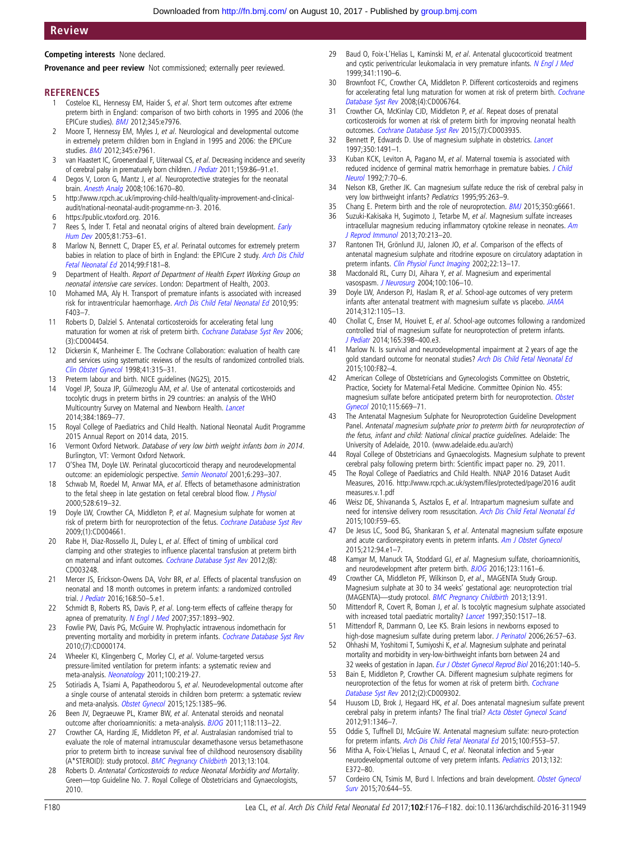# <span id="page-4-0"></span>Review

Competing interests None declared.

Provenance and peer review Not commissioned: externally peer reviewed.

#### **REFERENCES**

- 1 Costeloe KL, Hennessy EM, Haider S, et al. Short term outcomes after extreme preterm birth in England: comparison of two birth cohorts in 1995 and 2006 (the EPICure studies). [BMJ](http://dx.doi.org/10.1136/bmj.e7976) 2012;345:e7976.
- 2 Moore T, Hennessy EM, Myles J, et al. Neurological and developmental outcome in extremely preterm children born in England in 1995 and 2006: the EPICure studies. [BMJ](http://dx.doi.org/10.1136/bmj.e7961) 2012;345:e7961.
- 3 van Haastert IC, Groenendaal F, Uiterwaal CS, et al. Decreasing incidence and severity of cerebral palsy in prematurely born children. [J Pediatr](http://dx.doi.org/10.1016/j.jpeds.2010.12.053) 2011;159:86-91.e1.
- 4 Degos V, Loron G, Mantz J, et al. Neuroprotective strategies for the neonatal brain. [Anesth Analg](http://dx.doi.org/10.1213/ane.0b013e3181733f6f) 2008;106:1670–80.
- 5 [http://www.rcpch.ac.uk/improving-child-health/quality-improvement-and-clinical](http://www.rcpch.ac.uk/improving-child-health/quality-improvement-and-clinical-audit/national-neonatal-audit-programme-nn-3)[audit/national-neonatal-audit-programme-nn-3.](http://www.rcpch.ac.uk/improving-child-health/quality-improvement-and-clinical-audit/national-neonatal-audit-programme-nn-3) 2016.
- 6 [https://public.vtoxford.org.](https://public.vtoxford.org) 2016.
- 7 Rees S, Inder T. Fetal and neonatal origins of altered brain development. *[Early](http://dx.doi.org/10.1016/j.earlhumdev.2005.07.004)* [Hum Dev](http://dx.doi.org/10.1016/j.earlhumdev.2005.07.004) 2005;81:753–61.
- 8 Marlow N, Bennett C, Draper ES, et al. Perinatal outcomes for extremely preterm babies in relation to place of birth in England: the EPICure 2 study. [Arch Dis Child](http://dx.doi.org/10.1136/archdischild-2013-305555) [Fetal Neonatal Ed](http://dx.doi.org/10.1136/archdischild-2013-305555) 2014;99:F181–8.
- 9 Department of Health. Report of Department of Health Expert Working Group on neonatal intensive care services. London: Department of Health, 2003.
- 10 Mohamed MA, Aly H. Transport of premature infants is associated with increased risk for intraventricular haemorrhage. [Arch Dis Child Fetal Neonatal Ed](http://dx.doi.org/10.1136/adc.2010.183236) 2010;95: F403–7.
- 11 Roberts D, Dalziel S. Antenatal corticosteroids for accelerating fetal lung maturation for women at risk of preterm birth. [Cochrane Database Syst Rev](http://dx.doi.org/10.1002/14651858.CD004454.pub2) 2006; (3):CD004454.
- 12 Dickersin K, Manheimer E. The Cochrane Collaboration: evaluation of health care and services using systematic reviews of the results of randomized controlled trials. [Clin Obstet Gynecol](http://dx.doi.org/10.1097/00003081-199806000-00012) 1998;41:315–31.
- 13 Preterm labour and birth. NICE guidelines (NG25), 2015.
- 14 Vogel JP, Souza JP, Gülmezoglu AM, et al. Use of antenatal corticosteroids and tocolytic drugs in preterm births in 29 countries: an analysis of the WHO Multicountry Survey on Maternal and Newborn Health. [Lancet](http://dx.doi.org/10.1016/S0140-6736(14)60580-8) 2014;384:1869–77.
- 15 Royal College of Paediatrics and Child Health. National Neonatal Audit Programme 2015 Annual Report on 2014 data, 2015.
- 16 Vermont Oxford Network. Database of very low birth weight infants born in 2014. Burlington, VT: Vermont Oxford Network.
- 17 O'Shea TM, Doyle LW. Perinatal glucocorticoid therapy and neurodevelopmental outcome: an epidemiologic perspective. [Semin Neonatol](http://dx.doi.org/10.1053/siny.2001.0065) 2001;6:293–307.
- 18 Schwab M, Roedel M, Anwar MA, et al. Effects of betamethasone administration to the fetal sheep in late gestation on fetal cerebral blood flow. *[J Physiol](http://dx.doi.org/10.1111/j.1469-7793.2000.00619.x)* 2000;528:619–32.
- Doyle LW, Crowther CA, Middleton P, et al. Magnesium sulphate for women at risk of preterm birth for neuroprotection of the fetus. [Cochrane Database Syst Rev](http://dx.doi.org/10.1002/14651858.CD004661.pub3) 2009;(1):CD004661.
- 20 Rabe H, Diaz-Rossello JL, Duley L, et al. Effect of timing of umbilical cord clamping and other strategies to influence placental transfusion at preterm birth on maternal and infant outcomes. [Cochrane Database Syst Rev](http://dx.doi.org/10.1002/14651858.CD003248.pub3) 2012;(8): CD003248.
- 21 Mercer JS, Erickson-Owens DA, Vohr BR, et al. Effects of placental transfusion on neonatal and 18 month outcomes in preterm infants: a randomized controlled trial. [J Pediatr](http://dx.doi.org/10.1016/j.jpeds.2015.09.068) 2016;168:50-5.e1.
- 22 Schmidt B, Roberts RS, Davis P, et al. Long-term effects of caffeine therapy for apnea of prematurity. [N Engl J Med](http://dx.doi.org/10.1056/NEJMoa073679) 2007;357:1893-902.
- 23 Fowlie PW, Davis PG, McGuire W. Prophylactic intravenous indomethacin for preventing mortality and morbidity in preterm infants. [Cochrane Database Syst Rev](http://dx.doi.org/10.1002/14651858.CD000174.pub2) 2010;(7):CD000174.
- 24 Wheeler KI, Klingenberg C, Morley CJ, et al. Volume-targeted versus pressure-limited ventilation for preterm infants: a systematic review and meta-analysis. [Neonatology](http://dx.doi.org/10.1159/000326080) 2011;100:219-27.
- 25 Sotiriadis A, Tsiami A, Papatheodorou S, et al. Neurodevelopmental outcome after a single course of antenatal steroids in children born preterm: a systematic review and meta-analysis. [Obstet Gynecol](http://dx.doi.org/10.1097/AOG.0000000000000748) 2015;125:1385-96.
- 26 Been JV, Degraeuwe PL, Kramer BW, et al. Antenatal steroids and neonatal outcome after chorioamnionitis: a meta-analysis. [BJOG](http://dx.doi.org/10.1111/j.1471-0528.2010.02751.x) 2011;118:113-22.
- 27 Crowther CA, Harding JE, Middleton PF, et al. Australasian randomised trial to evaluate the role of maternal intramuscular dexamethasone versus betamethasone prior to preterm birth to increase survival free of childhood neurosensory disability (A\*STEROID): study protocol. [BMC Pregnancy Childbirth](http://dx.doi.org/10.1186/1471-2393-13-104) 2013;13:104.
- Roberts D. Antenatal Corticosteroids to reduce Neonatal Morbidity and Mortality. Green—top Guideline No. 7. Royal College of Obstetricians and Gynaecologists, 2010.
- 29 Baud O, Foix-L'Helias L, Kaminski M, et al. Antenatal glucocorticoid treatment and cystic periventricular leukomalacia in very premature infants. [N Engl J Med](http://dx.doi.org/10.1056/NEJM199910143411604) 1999;341:1190–6.
- 30 Brownfoot FC, Crowther CA, Middleton P. Different corticosteroids and regimens for accelerating fetal lung maturation for women at risk of preterm birth. [Cochrane](http://dx.doi.org/10.1002/14651858.CD006764.pub2) [Database Syst Rev](http://dx.doi.org/10.1002/14651858.CD006764.pub2) 2008;(4):CD006764.
- 31 Crowther CA, McKinlay CJD, Middleton P, et al. Repeat doses of prenatal corticosteroids for women at risk of preterm birth for improving neonatal health outcomes. [Cochrane Database Syst Rev](http://dx.doi.org/10.1002/14651858.CD003935.pub4) 2015;(7):CD003935.
- 32 Bennett P, Edwards D. Use of magnesium sulphate in obstetrics. [Lancet](http://dx.doi.org/10.1016/S0140-6736(05)63935-9) 1997;350:1491–1.
- 33 Kuban KCK, Leviton A, Pagano M, et al. Maternal toxemia is associated with reduced incidence of germinal matrix hemorrhage in premature babies. [J Child](http://dx.doi.org/10.1177/088307389200700113) [Neurol](http://dx.doi.org/10.1177/088307389200700113) 1992;7:70–6.
- 34 Nelson KB, Grether JK. Can magnesium sulfate reduce the risk of cerebral palsy in very low birthweight infants? Pediatrics 1995;95:263–9.
- 35 Chang E. Preterm birth and the role of neuroprotection. [BMJ](http://dx.doi.org/10.1136/bmj.g6661) 2015;350:g6661.
- 36 Suzuki-Kakisaka H, Sugimoto J, Tetarbe M, et al. Magnesium sulfate increases intracellular magnesium reducing inflammatory cytokine release in neonates. [Am](http://dx.doi.org/10.1111/aji.12118) [J Reprod Immunol](http://dx.doi.org/10.1111/aji.12118) 2013;70:213–20.
- 37 Rantonen TH, Grönlund JU, Jalonen JO, et al. Comparison of the effects of antenatal magnesium sulphate and ritodrine exposure on circulatory adaptation in preterm infants. [Clin Physiol Funct Imaging](http://dx.doi.org/10.1046/j.1475-097X.2002.00387.x) 2002;22:13-17.
- 38 Macdonald RL, Curry DJ, Aihara Y, et al. Magnesium and experimental vasospasm. [J Neurosurg](http://dx.doi.org/10.3171/jns.2004.100.1.0106) 2004;100:106-10.
- 39 Doyle LW, Anderson PJ, Haslam R, et al. School-age outcomes of very preterm infants after antenatal treatment with magnesium sulfate vs placebo. [JAMA](http://dx.doi.org/10.1001/jama.2014.11189) 2014;312:1105–13.
- 40 Chollat C, Enser M, Houivet E, et al. School-age outcomes following a randomized controlled trial of magnesium sulfate for neuroprotection of preterm infants. [J Pediatr](http://dx.doi.org/10.1016/j.jpeds.2014.04.007) 2014;165:398–400.e3.
- 41 Marlow N. Is survival and neurodevelopmental impairment at 2 years of age the gold standard outcome for neonatal studies? [Arch Dis Child Fetal Neonatal Ed](http://dx.doi.org/10.1136/archdischild-2014-306191) 2015;100:F82–4.
- American College of Obstetricians and Gynecologists Committee on Obstetric, Practice, Society for Maternal-Fetal Medicine. Committee Opinion No. 455: magnesium sulfate before anticipated preterm birth for neuroprotection. [Obstet](http://dx.doi.org/10.1097/AOG.0b013e3181d4ffa5) [Gynecol](http://dx.doi.org/10.1097/AOG.0b013e3181d4ffa5) 2010;115:669–71.
- 43 The Antenatal Magnesium Sulphate for Neuroprotection Guideline Development Panel. Antenatal magnesium sulphate prior to preterm birth for neuroprotection of the fetus, infant and child: National clinical practice guidelines. Adelaide: The University of Adelaide, 2010. (www.adelaide.edu.au/arch)
- 44 Royal College of Obstetricians and Gynaecologists. Magnesium sulphate to prevent cerebral palsy following preterm birth: Scientific impact paper no. 29, 2011.
- The Royal College of Paediatrics and Child Health. NNAP 2016 Dataset Audit Measures, 2016. [http://www.rcpch.ac.uk/system/](http://www.rcpch.ac.uk/system/files/protected/page/2016 audit measures.v.1.pdf)files/protected/page/2016 audit [measures.v.1.pdf](http://www.rcpch.ac.uk/system/files/protected/page/2016 audit measures.v.1.pdf)
- 46 Weisz DE, Shivananda S, Asztalos E, et al. Intrapartum magnesium sulfate and need for intensive delivery room resuscitation. [Arch Dis Child Fetal Neonatal Ed](http://dx.doi.org/10.1136/archdischild-2013-305884) 2015;100:F59–65.
- 47 De Jesus LC, Sood BG, Shankaran S, et al. Antenatal magnesium sulfate exposure and acute cardiorespiratory events in preterm infants. [Am J Obstet Gynecol](http://dx.doi.org/10.1016/j.ajog.2014.07.023) 2015;212:94.e1–7.
- 48 Kamyar M, Manuck TA, Stoddard GJ, et al. Magnesium sulfate, chorioamnionitis, and neurodevelopment after preterm birth. **[BJOG](http://dx.doi.org/10.1111/1471-0528.13460)** 2016;123:1161-6.
- 49 Crowther CA, Middleton PF, Wilkinson D, et al., MAGENTA Study Group. Magnesium sulphate at 30 to 34 weeks' gestational age: neuroprotection trial (MAGENTA)—study protocol. [BMC Pregnancy Childbirth](http://dx.doi.org/10.1186/1471-2393-13-91) 2013;13:91.
- 50 Mittendorf R, Covert R, Boman J, et al. Is tocolytic magnesium sulphate associated with increased total paediatric mortality? [Lancet](http://dx.doi.org/10.1016/S0140-6736(97)24047-x) 1997;350:1517-18.
- 51 Mittendorf R, Dammann O, Lee KS. Brain lesions in newborns exposed to high-dose magnesium sulfate during preterm labor. [J Perinatol](http://dx.doi.org/10.1038/sj.jp.7211419) 2006;26:57-63.
- 52 Ohhashi M, Yoshitomi T, Sumiyoshi K, et al. Magnesium sulphate and perinatal mortality and morbidity in very-low-birthweight infants born between 24 and 32 weeks of gestation in Japan. [Eur J Obstet Gynecol Reprod Biol](http://dx.doi.org/10.1016/j.ejogrb.2016.03.048) 2016;201:140-5.
- 53 Bain E, Middleton P, Crowther CA. Different magnesium sulphate regimens for neuroprotection of the fetus for women at risk of preterm birth. [Cochrane](http://dx.doi.org/10.1002/14651858.CD009302.pub2) [Database Syst Rev](http://dx.doi.org/10.1002/14651858.CD009302.pub2) 2012;(2):CD009302.
- 54 Huusom LD, Brok J, Hegaard HK, et al. Does antenatal magnesium sulfate prevent cerebral palsy in preterm infants? The final trial? [Acta Obstet Gynecol Scand](http://dx.doi.org/10.1111/aogs.12018) 2012;91:1346–7.
- 55 Oddie S, Tuffnell DJ, McGuire W. Antenatal magnesium sulfate: neuro-protection for preterm infants. [Arch Dis Child Fetal Neonatal Ed](http://dx.doi.org/10.1136/archdischild-2014-307655) 2015;100:F553–57.
- 56 Mitha A, Foix-L'Helias L, Arnaud C, et al. Neonatal infection and 5-year neurodevelopmental outcome of very preterm infants. [Pediatrics](http://dx.doi.org/10.1542/peds.2012-3979) 2013;132: E372–80.
- 57 Cordeiro CN, Tsimis M, Burd I. Infections and brain development. [Obstet Gynecol](http://dx.doi.org/10.1097/OGX.0000000000000236) [Surv](http://dx.doi.org/10.1097/OGX.0000000000000236) 2015;70:644–55.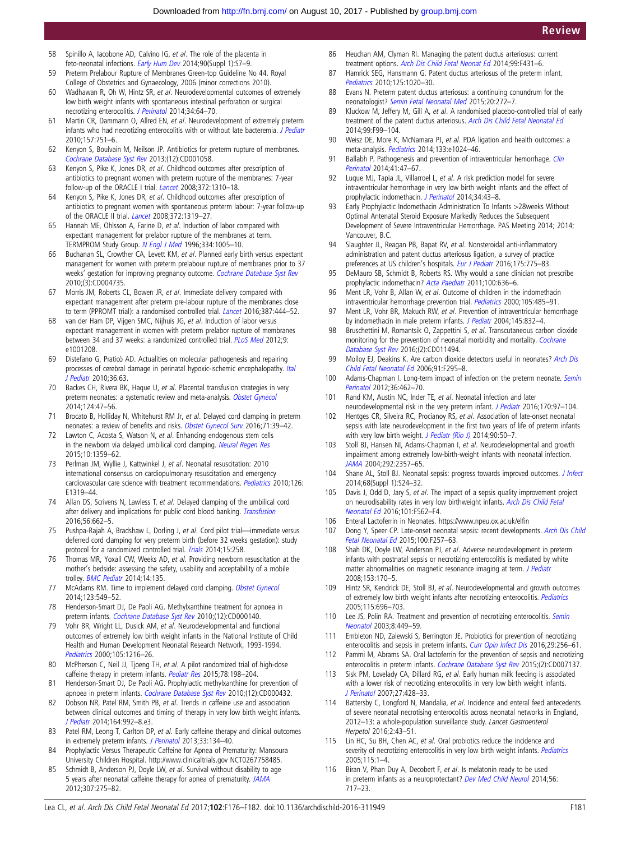- <span id="page-5-0"></span>58 Spinillo A, Iacobone AD, Calvino IG, et al. The role of the placenta in feto-neonatal infections. [Early Hum Dev](http://dx.doi.org/10.1016/S0378-3782(14)70003-9) 2014;90(Suppl 1):S7–9.
- 59 Preterm Prelabour Rupture of Membranes Green-top Guideline No 44. Royal College of Obstetrics and Gynaecology, 2006 (minor corrections 2010).
- 60 Wadhawan R, Oh W, Hintz SR, et al. Neurodevelopmental outcomes of extremely low birth weight infants with spontaneous intestinal perforation or surgical necrotizing enterocolitis. [J Perinatol](http://dx.doi.org/10.1038/jp.2013.128) 2014;34:64–70.
- 61 Martin CR, Dammann O, Allred EN, et al. Neurodevelopment of extremely preterm infants who had necrotizing enterocolitis with or without late bacteremia. [J Pediatr](http://dx.doi.org/10.1016/j.jpeds.2010.05.042) 2010;157:751–6.
- 62 Kenyon S, Boulvain M, Neilson JP. Antibiotics for preterm rupture of membranes. [Cochrane Database Syst Rev](http://dx.doi.org/10.1002/14651858.CD001058.pub3) 2013;(12):CD001058.
- 63 Kenyon S, Pike K, Jones DR, et al. Childhood outcomes after prescription of antibiotics to pregnant women with preterm rupture of the membranes: 7-year follow-up of the ORACLE I trial. [Lancet](http://dx.doi.org/10.1016/S0140-6736(08)61202-7) 2008;372:1310–18.
- 64 Kenyon S, Pike K, Jones DR, et al. Childhood outcomes after prescription of antibiotics to pregnant women with spontaneous preterm labour: 7-year follow-up of the ORACLE II trial. [Lancet](http://dx.doi.org/10.1016/S0140-6736(08)61203-9) 2008;372:1319–27.
- 65 Hannah ME, Ohlsson A, Farine D, et al. Induction of labor compared with expectant management for prelabor rupture of the membranes at term. TERMPROM Study Group. [N Engl J Med](http://dx.doi.org/10.1056/NEJM199604183341601) 1996;334:1005–10.
- 66 Buchanan SL, Crowther CA, Levett KM, et al. Planned early birth versus expectant management for women with preterm prelabour rupture of membranes prior to 37 weeks' gestation for improving pregnancy outcome. [Cochrane Database Syst Rev](http://dx.doi.org/10.1002/14651858.CD004735.pub3) 2010;(3):CD004735.
- 67 Morris JM, Roberts CL, Bowen JR, et al. Immediate delivery compared with expectant management after preterm pre-labour rupture of the membranes close to term (PPROMT trial): a randomised controlled trial. [Lancet](http://dx.doi.org/10.1016/S0140-6736(15)00724-2) 2016;387:444–52.
- 68 van der Ham DP, Vijgen SMC, Nijhuis JG, et al. Induction of labor versus expectant management in women with preterm prelabor rupture of membranes between 34 and 37 weeks: a randomized controlled trial. [PLoS Med](http://dx.doi.org/10.1371/journal.pmed.1001208) 2012;9: e1001208.
- 69 Distefano G, Praticò AD. Actualities on molecular pathogenesis and repairing processes of cerebral damage in perinatal hypoxic-ischemic encephalopathy. [Ital](http://dx.doi.org/10.1186/1824-7288-36-63) [J Pediatr](http://dx.doi.org/10.1186/1824-7288-36-63) 2010;36:63.
- 70 Backes CH, Rivera BK, Haque U, et al. Placental transfusion strategies in very preterm neonates: a systematic review and meta-analysis. [Obstet Gynecol](http://dx.doi.org/10.1097/AOG.0000000000000324) 2014;124:47–56.
- 71 Brocato B, Holliday N, Whitehurst RM Jr, et al. Delayed cord clamping in preterm neonates: a review of benefits and risks. [Obstet Gynecol Surv](http://dx.doi.org/10.1097/OGX.0000000000000263) 2016;71:39-42.
- 72 Lawton C, Acosta S, Watson N, et al. Enhancing endogenous stem cells in the newborn via delayed umbilical cord clamping. [Neural Regen Res](http://dx.doi.org/10.4103/1673-5374.165218) 2015;10:1359–62.
- 73 Perlman JM, Wyllie J, Kattwinkel J, et al. Neonatal resuscitation: 2010 international consensus on cardiopulmonary resuscitation and emergency cardiovascular care science with treatment recommendations. [Pediatrics](http://dx.doi.org/10.1542/peds.2010-2972B) 2010;126: E1319–44.
- 74 Allan DS, Scrivens N, Lawless T, et al. Delayed clamping of the umbilical cord after delivery and implications for public cord blood banking. [Transfusion](http://dx.doi.org/10.1111/trf.13424) 2016;56:662–5.
- 75 Pushpa-Rajah A, Bradshaw L, Dorling J, et al. Cord pilot trial—immediate versus deferred cord clamping for very preterm birth (before 32 weeks gestation): study protocol for a randomized controlled trial. [Trials](http://dx.doi.org/10.1186/1745-6215-15-258) 2014;15:258.
- 76 Thomas MR, Yoxall CW, Weeks AD, et al. Providing newborn resuscitation at the mother's bedside: assessing the safety, usability and acceptability of a mobile trolley. [BMC Pediatr](http://dx.doi.org/10.1186/1471-2431-14-135) 2014;14:135.
- 77 McAdams RM. Time to implement delayed cord clamping. [Obstet Gynecol](http://dx.doi.org/10.1097/AOG.0000000000000122) 2014;123:549–52.
- 78 Henderson-Smart DJ, De Paoli AG. Methylxanthine treatment for apnoea in preterm infants. [Cochrane Database Syst Rev](http://dx.doi.org/10.1002/14651858.CD000140.pub2) 2010;(12):CD000140.
- 79 Vohr BR, Wright LL, Dusick AM, et al. Neurodevelopmental and functional outcomes of extremely low birth weight infants in the National Institute of Child Health and Human Development Neonatal Research Network, 1993-1994. [Pediatrics](http://dx.doi.org/10.1542/peds.105.6.1216) 2000;105:1216–26.
- 80 McPherson C, Neil JJ, Tjoeng TH, et al. A pilot randomized trial of high-dose caffeine therapy in preterm infants. [Pediatr Res](http://dx.doi.org/10.1038/pr.2015.72) 2015;78:198-204.
- 81 Henderson-Smart DJ, De Paoli AG. Prophylactic methylxanthine for prevention of apnoea in preterm infants. [Cochrane Database Syst Rev](http://dx.doi.org/10.1002/14651858.CD000432.pub2) 2010;(12):CD000432.
- 82 Dobson NR, Patel RM, Smith PB, et al. Trends in caffeine use and association between clinical outcomes and timing of therapy in very low birth weight infants. [J Pediatr](http://dx.doi.org/10.1016/j.jpeds.2013.12.025) 2014;164:992–8.e3.
- 83 Patel RM, Leong T, Carlton DP, et al. Early caffeine therapy and clinical outcomes in extremely preterm infants. [J Perinatol](http://dx.doi.org/10.1038/jp.2012.52) 2013;33:134-40.
- 84 Prophylactic Versus Therapeutic Caffeine for Apnea of Prematurity: Mansoura University Children Hospital.<http://www.clinicaltrials.gov> NCT0267758485.
- 85 Schmidt B, Anderson PJ, Doyle LW, et al. Survival without disability to age 5 years after neonatal caffeine therapy for apnea of prematurity. [JAMA](http://dx.doi.org/10.1001/jama.2011.2024) 2012;307:275–82.
- 86 Heuchan AM, Clyman RI. Managing the patent ductus arteriosus: current treatment options. [Arch Dis Child Fetal Neonat Ed](http://dx.doi.org/10.1136/archdischild-2014-306176) 2014;99:F431–6.
- 87 Hamrick SEG, Hansmann G. Patent ductus arteriosus of the preterm infant. [Pediatrics](http://dx.doi.org/10.1542/peds.2009-3506) 2010;125:1020–30.
- 88 Evans N. Preterm patent ductus arteriosus: a continuing conundrum for the neonatologist? [Semin Fetal Neonatal Med](http://dx.doi.org/10.1016/j.siny.2015.03.004) 2015;20:272–7.
- 89 Kluckow M, Jeffery M, Gill A, et al. A randomised placebo-controlled trial of early treatment of the patent ductus arteriosus. [Arch Dis Child Fetal Neonatal Ed](http://dx.doi.org/10.1136/archdischild-2013-304695) 2014;99:F99–104.
- 90 Weisz DE, More K, McNamara PJ, et al. PDA ligation and health outcomes: a meta-analysis. [Pediatrics](http://dx.doi.org/10.1542/peds.2013-3431) 2014;133:e1024–46.
- 91 Ballabh P. Pathogenesis and prevention of intraventricular hemorrhage. [Clin](http://dx.doi.org/10.1016/j.clp.2013.09.007) [Perinatol](http://dx.doi.org/10.1016/j.clp.2013.09.007) 2014;41:47–67.
- 92 Luque MJ, Tapia JL, Villarroel L, et al. A risk prediction model for severe intraventricular hemorrhage in very low birth weight infants and the effect of prophylactic indomethacin. [J Perinatol](http://dx.doi.org/10.1038/jp.2013.127) 2014;34:43–8.
- 93 Early Prophylactic Indomethacin Administration To Infants >28weeks Without Optimal Antenatal Steroid Exposure Markedly Reduces the Subsequent Development of Severe Intraventricular Hemorrhage. PAS Meeting 2014; 2014; Vancouver, B.C.
- 94 Slaughter JL, Reagan PB, Bapat RV, et al. Nonsteroidal anti-inflammatory administration and patent ductus arteriosus ligation, a survey of practice preferences at US children's hospitals. [Eur J Pediatr](http://dx.doi.org/10.1007/s00431-016-2705-y) 2016;175:775-83.
- 95 DeMauro SB, Schmidt B, Roberts RS. Why would a sane clinician not prescribe prophylactic indomethacin? [Acta Paediatr](http://dx.doi.org/10.1111/j.1651-2227.2011.02216.x) 2011;100:636–6.
- 96 Ment LR, Vohr B, Allan W, et al. Outcome of children in the indomethacin intraventricular hemorrhage prevention trial. [Pediatrics](http://dx.doi.org/10.1542/peds.105.3.485) 2000;105:485-91.
- 97 Ment LR, Vohr BR, Makuch RW, et al. Prevention of intraventricular hemorrhage by indomethacin in male preterm infants. [J Pediatr](http://dx.doi.org/10.1016/j.jpeds.2004.07.035) 2004;145:832-4.
- 98 Bruschettini M, Romantsik O, Zappettini S, et al. Transcutaneous carbon dioxide monitoring for the prevention of neonatal morbidity and mortality. [Cochrane](http://dx.doi.org/10.1002/14651858.CD011494.pub2) [Database Syst Rev](http://dx.doi.org/10.1002/14651858.CD011494.pub2) 2016;(2):CD011494.
- 99 Molloy EJ, Deakins K. Are carbon dioxide detectors useful in neonates? [Arch Dis](http://dx.doi.org/10.1136/adc.2005.082008) [Child Fetal Neonatal Ed](http://dx.doi.org/10.1136/adc.2005.082008) 2006;91:F295–8.
- 100 Adams-Chapman I. Long-term impact of infection on the preterm neonate. [Semin](http://dx.doi.org/10.1053/j.semperi.2012.06.009) [Perinatol](http://dx.doi.org/10.1053/j.semperi.2012.06.009) 2012;36:462–70.
- 101 Rand KM, Austin NC, Inder TE, et al. Neonatal infection and later
- neurodevelopmental risk in the very preterm infant. [J Pediatr](http://dx.doi.org/10.1016/j.jpeds.2015.11.017) 2016;170:97-104. 102 Hentges CR, Silveira RC, Procianoy RS, et al. Association of late-onset neonatal
- sepsis with late neurodevelopment in the first two years of life of preterm infants with very low birth weight. [J Pediatr \(Rio J\)](http://dx.doi.org/10.1016/j.jped.2013.10.002) 2014;90:50-7.
- 103 Stoll BJ, Hansen NI, Adams-Chapman I, et al. Neurodevelopmental and growth impairment among extremely low-birth-weight infants with neonatal infection. [JAMA](http://dx.doi.org/10.1001/jama.292.19.2357) 2004;292:2357–65.
- 104 Shane AL, Stoll BJ. Neonatal sepsis: progress towards improved outcomes. [J Infect](http://dx.doi.org/10.1016/j.jinf.2013.09.011) 2014;68(Suppl 1):S24–32.
- 105 Davis J, Odd D, Jary S, et al. The impact of a sepsis quality improvement project on neurodisability rates in very low birthweight infants. [Arch Dis Child Fetal](http://dx.doi.org/10.1136/archdischild-2015-309804) [Neonatal Ed](http://dx.doi.org/10.1136/archdischild-2015-309804) 2016;101:F562–F4.
- 106 Enteral Lactoferrin in Neonates. [https://www.npeu.ox.ac.uk/el](https://www.npeu.ox.ac.uk/elfin)fin
- 107 Dong Y, Speer CP. Late-onset neonatal sepsis: recent developments. [Arch Dis Child](http://dx.doi.org/10.1136/archdischild-2014-306213) [Fetal Neonatal Ed](http://dx.doi.org/10.1136/archdischild-2014-306213) 2015;100:F257–63.
- 108 Shah DK, Doyle LW, Anderson PJ, et al. Adverse neurodevelopment in preterm infants with postnatal sepsis or necrotizing enterocolitis is mediated by white matter abnormalities on magnetic resonance imaging at term. [J Pediatr](http://dx.doi.org/10.1016/j.jpeds.2008.02.033) 2008;153:170–5.
- 109 Hintz SR, Kendrick DE, Stoll BJ, et al. Neurodevelopmental and growth outcomes of extremely low birth weight infants after necrotizing enterocolitis. [Pediatrics](http://dx.doi.org/10.1542/peds.2004-0569) 2005;115:696–703.
- 110 Lee JS, Polin RA. Treatment and prevention of necrotizing enterocolitis. [Semin](http://dx.doi.org/10.1016/S1084-2756(03)00123-4) [Neonatol](http://dx.doi.org/10.1016/S1084-2756(03)00123-4) 2003;8:449–59.
- 111 Embleton ND, Zalewski S, Berrington JE. Probiotics for prevention of necrotizing enterocolitis and sepsis in preterm infants. [Curr Opin Infect Dis](http://dx.doi.org/10.1097/QCO.0000000000000269) 2016;29:256–61.
- 112 Pammi M, Abrams SA. Oral lactoferrin for the prevention of sepsis and necrotizing enterocolitis in preterm infants. [Cochrane Database Syst Rev](http://dx.doi.org/10.1002/14651858.CD007137.pub4) 2015;(2):CD007137.
- 113 Sisk PM, Lovelady CA, Dillard RG, et al. Early human milk feeding is associated with a lower risk of necrotizing enterocolitis in very low birth weight infants. [J Perinatol](http://dx.doi.org/10.1038/sj.jp.7211758) 2007;27:428–33.
- 114 Battersby C, Longford N, Mandalia, et al. Incidence and enteral feed antecedents of severe neonatal necrotising enterocolitis across neonatal networks in England, 2012–13: a whole-population surveillance study. Lancet Gastroenterol Herpetol 2016;2:43–51.
- 115 Lin HC, Su BH, Chen AC, et al. Oral probiotics reduce the incidence and severity of necrotizing enterocolitis in very low birth weight infants. [Pediatrics](http://dx.doi.org/10.1542/peds.2004-1463) 2005;115:1–4.
- 116 Biran V, Phan Duy A, Decobert F, et al. Is melatonin ready to be used in preterm infants as a neuroprotectant? [Dev Med Child Neurol](http://dx.doi.org/10.1111/dmcn.12415) 2014;56: 717–23.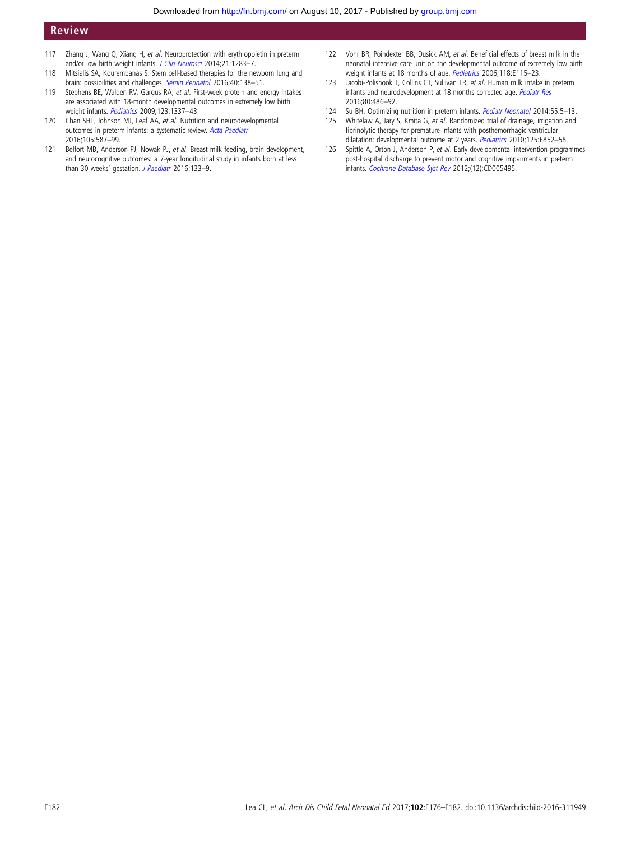# <span id="page-6-0"></span>Review

- 117 Zhang J, Wang Q, Xiang H, et al. Neuroprotection with erythropoietin in preterm and/or low birth weight infants. [J Clin Neurosci](http://dx.doi.org/10.1016/j.jocn.2013.10.040) 2014;21:1283-7.
- 118 Mitsialis SA, Kourembanas S. Stem cell-based therapies for the newborn lung and brain: possibilities and challenges. [Semin Perinatol](http://dx.doi.org/10.1053/j.semperi.2015.12.002) 2016;40:138-51.
- 119 Stephens BE, Walden RV, Gargus RA, et al. First-week protein and energy intakes are associated with 18-month developmental outcomes in extremely low birth weight infants. [Pediatrics](http://dx.doi.org/10.1542/peds.2008-0211) 2009;123:1337–43.
- 120 Chan SHT, Johnson MJ, Leaf AA, et al. Nutrition and neurodevelopmental outcomes in preterm infants: a systematic review. [Acta Paediatr](http://dx.doi.org/10.1111/apa.13344) 2016;105:587–99.
- 121 Belfort MB, Anderson PJ, Nowak PJ, et al. Breast milk feeding, brain development, and neurocognitive outcomes: a 7-year longitudinal study in infants born at less than 30 weeks' gestation. [J Paediatr](http://dx.doi.org/10.1016/j.jpeds.2016.06.045) 2016:133-9.
- 122 Vohr BR, Poindexter BB, Dusick AM, et al. Beneficial effects of breast milk in the neonatal intensive care unit on the developmental outcome of extremely low birth weight infants at 18 months of age. [Pediatrics](http://dx.doi.org/10.1542/peds.2005-2382) 2006;118:E115-23.
- 123 Jacobi-Polishook T, Collins CT, Sullivan TR, et al. Human milk intake in preterm infants and neurodevelopment at 18 months corrected age. [Pediatr Res](http://dx.doi.org/10.1038/pr.2016.114) 2016;80:486–92.
- 124 Su BH. Optimizing nutrition in preterm infants. *[Pediatr Neonatol](http://dx.doi.org/10.1016/j.pedneo.2013.07.003)* 2014;55:5–13.<br>125 Whitelaw A, Jary S, Kmita G, *et al*. Randomized trial of drainage, irrigation and
- Whitelaw A, Jary S, Kmita G, et al. Randomized trial of drainage, irrigation and fibrinolytic therapy for premature infants with posthemorrhagic ventricular dilatation: developmental outcome at 2 years. [Pediatrics](http://dx.doi.org/10.1542/peds.2009-1960) 2010;125:E852-58.
- 126 Spittle A, Orton J, Anderson P, et al. Early developmental intervention programmes post-hospital discharge to prevent motor and cognitive impairments in preterm infants. [Cochrane Database Syst Rev](http://dx.doi.org/10.1002/14651858.CD005495.pub3) 2012;(12):CD005495.